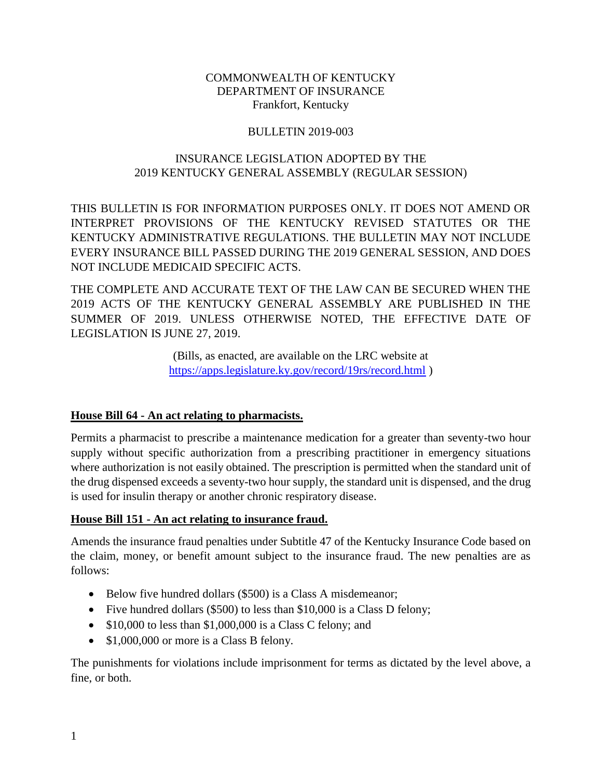#### COMMONWEALTH OF KENTUCKY DEPARTMENT OF INSURANCE Frankfort, Kentucky

### BULLETIN 2019-003

### INSURANCE LEGISLATION ADOPTED BY THE 2019 KENTUCKY GENERAL ASSEMBLY (REGULAR SESSION)

THIS BULLETIN IS FOR INFORMATION PURPOSES ONLY. IT DOES NOT AMEND OR INTERPRET PROVISIONS OF THE KENTUCKY REVISED STATUTES OR THE KENTUCKY ADMINISTRATIVE REGULATIONS. THE BULLETIN MAY NOT INCLUDE EVERY INSURANCE BILL PASSED DURING THE 2019 GENERAL SESSION, AND DOES NOT INCLUDE MEDICAID SPECIFIC ACTS.

THE COMPLETE AND ACCURATE TEXT OF THE LAW CAN BE SECURED WHEN THE 2019 ACTS OF THE KENTUCKY GENERAL ASSEMBLY ARE PUBLISHED IN THE SUMMER OF 2019. UNLESS OTHERWISE NOTED, THE EFFECTIVE DATE OF LEGISLATION IS JUNE 27, 2019.

> (Bills, as enacted, are available on the LRC website at <https://apps.legislature.ky.gov/record/19rs/record.html> )

### **House Bill 64 - An act relating to pharmacists.**

Permits a pharmacist to prescribe a maintenance medication for a greater than seventy-two hour supply without specific authorization from a prescribing practitioner in emergency situations where authorization is not easily obtained. The prescription is permitted when the standard unit of the drug dispensed exceeds a seventy-two hour supply, the standard unit is dispensed, and the drug is used for insulin therapy or another chronic respiratory disease.

### **House Bill 151 - An act relating to insurance fraud.**

Amends the insurance fraud penalties under Subtitle 47 of the Kentucky Insurance Code based on the claim, money, or benefit amount subject to the insurance fraud. The new penalties are as follows:

- Below five hundred dollars (\$500) is a Class A misdemeanor;
- Five hundred dollars (\$500) to less than \$10,000 is a Class D felony;
- $\bullet$  \$10,000 to less than \$1,000,000 is a Class C felony; and
- \$1,000,000 or more is a Class B felony.

The punishments for violations include imprisonment for terms as dictated by the level above, a fine, or both.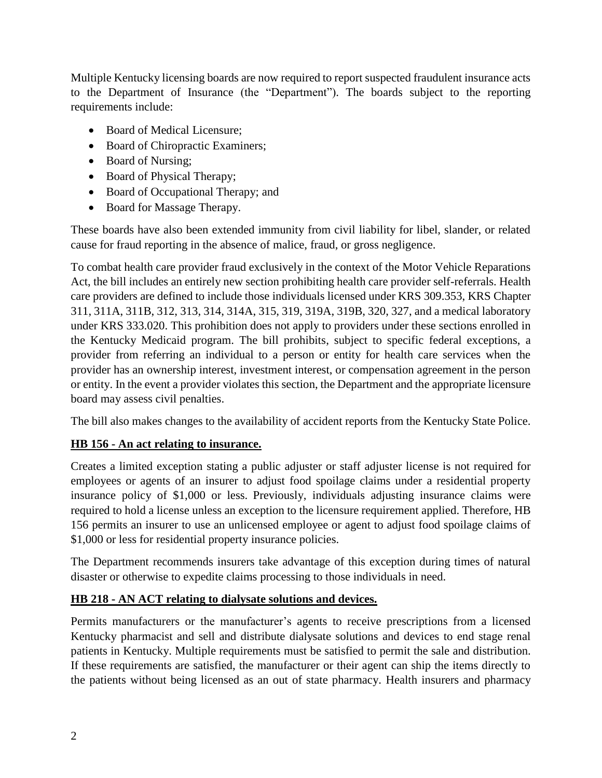Multiple Kentucky licensing boards are now required to report suspected fraudulent insurance acts to the Department of Insurance (the "Department"). The boards subject to the reporting requirements include:

- Board of Medical Licensure;
- Board of Chiropractic Examiners;
- Board of Nursing;
- Board of Physical Therapy;
- Board of Occupational Therapy; and
- Board for Massage Therapy.

These boards have also been extended immunity from civil liability for libel, slander, or related cause for fraud reporting in the absence of malice, fraud, or gross negligence.

To combat health care provider fraud exclusively in the context of the Motor Vehicle Reparations Act, the bill includes an entirely new section prohibiting health care provider self-referrals. Health care providers are defined to include those individuals licensed under KRS 309.353, KRS Chapter 311, 311A, 311B, 312, 313, 314, 314A, 315, 319, 319A, 319B, 320, 327, and a medical laboratory under KRS 333.020. This prohibition does not apply to providers under these sections enrolled in the Kentucky Medicaid program. The bill prohibits, subject to specific federal exceptions, a provider from referring an individual to a person or entity for health care services when the provider has an ownership interest, investment interest, or compensation agreement in the person or entity. In the event a provider violates this section, the Department and the appropriate licensure board may assess civil penalties.

The bill also makes changes to the availability of accident reports from the Kentucky State Police.

### **HB 156 - An act relating to insurance.**

Creates a limited exception stating a public adjuster or staff adjuster license is not required for employees or agents of an insurer to adjust food spoilage claims under a residential property insurance policy of \$1,000 or less. Previously, individuals adjusting insurance claims were required to hold a license unless an exception to the licensure requirement applied. Therefore, HB 156 permits an insurer to use an unlicensed employee or agent to adjust food spoilage claims of \$1,000 or less for residential property insurance policies.

The Department recommends insurers take advantage of this exception during times of natural disaster or otherwise to expedite claims processing to those individuals in need.

### **HB 218 - AN ACT relating to dialysate solutions and devices.**

Permits manufacturers or the manufacturer's agents to receive prescriptions from a licensed Kentucky pharmacist and sell and distribute dialysate solutions and devices to end stage renal patients in Kentucky. Multiple requirements must be satisfied to permit the sale and distribution. If these requirements are satisfied, the manufacturer or their agent can ship the items directly to the patients without being licensed as an out of state pharmacy. Health insurers and pharmacy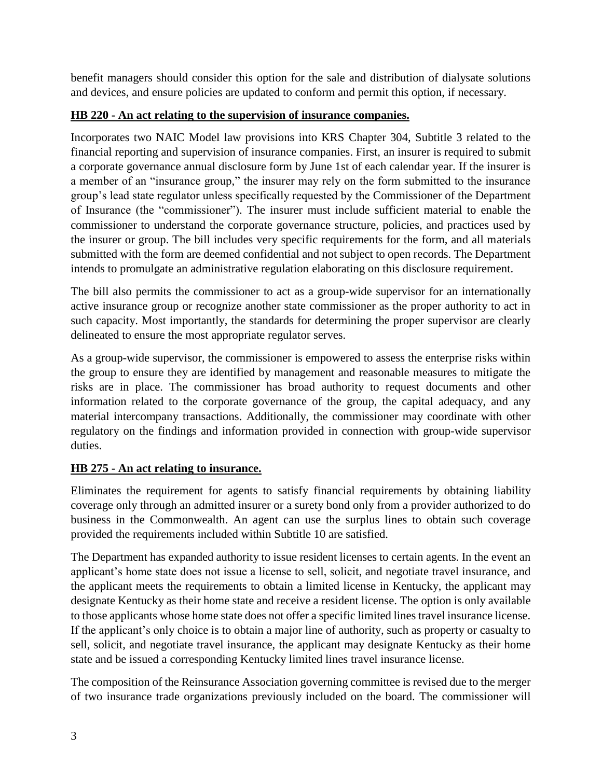benefit managers should consider this option for the sale and distribution of dialysate solutions and devices, and ensure policies are updated to conform and permit this option, if necessary.

## **HB 220 - An act relating to the supervision of insurance companies.**

Incorporates two NAIC Model law provisions into KRS Chapter 304, Subtitle 3 related to the financial reporting and supervision of insurance companies. First, an insurer is required to submit a corporate governance annual disclosure form by June 1st of each calendar year. If the insurer is a member of an "insurance group," the insurer may rely on the form submitted to the insurance group's lead state regulator unless specifically requested by the Commissioner of the Department of Insurance (the "commissioner"). The insurer must include sufficient material to enable the commissioner to understand the corporate governance structure, policies, and practices used by the insurer or group. The bill includes very specific requirements for the form, and all materials submitted with the form are deemed confidential and not subject to open records. The Department intends to promulgate an administrative regulation elaborating on this disclosure requirement.

The bill also permits the commissioner to act as a group-wide supervisor for an internationally active insurance group or recognize another state commissioner as the proper authority to act in such capacity. Most importantly, the standards for determining the proper supervisor are clearly delineated to ensure the most appropriate regulator serves.

As a group-wide supervisor, the commissioner is empowered to assess the enterprise risks within the group to ensure they are identified by management and reasonable measures to mitigate the risks are in place. The commissioner has broad authority to request documents and other information related to the corporate governance of the group, the capital adequacy, and any material intercompany transactions. Additionally, the commissioner may coordinate with other regulatory on the findings and information provided in connection with group-wide supervisor duties.

## **HB 275 - An act relating to insurance.**

Eliminates the requirement for agents to satisfy financial requirements by obtaining liability coverage only through an admitted insurer or a surety bond only from a provider authorized to do business in the Commonwealth. An agent can use the surplus lines to obtain such coverage provided the requirements included within Subtitle 10 are satisfied.

The Department has expanded authority to issue resident licenses to certain agents. In the event an applicant's home state does not issue a license to sell, solicit, and negotiate travel insurance, and the applicant meets the requirements to obtain a limited license in Kentucky, the applicant may designate Kentucky as their home state and receive a resident license. The option is only available to those applicants whose home state does not offer a specific limited lines travel insurance license. If the applicant's only choice is to obtain a major line of authority, such as property or casualty to sell, solicit, and negotiate travel insurance, the applicant may designate Kentucky as their home state and be issued a corresponding Kentucky limited lines travel insurance license.

The composition of the Reinsurance Association governing committee is revised due to the merger of two insurance trade organizations previously included on the board. The commissioner will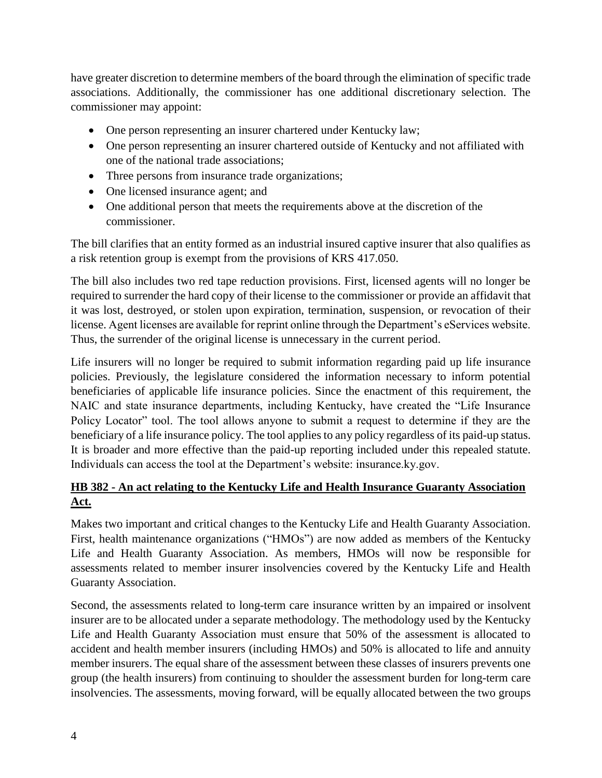have greater discretion to determine members of the board through the elimination of specific trade associations. Additionally, the commissioner has one additional discretionary selection. The commissioner may appoint:

- One person representing an insurer chartered under Kentucky law;
- One person representing an insurer chartered outside of Kentucky and not affiliated with one of the national trade associations;
- Three persons from insurance trade organizations;
- One licensed insurance agent; and
- One additional person that meets the requirements above at the discretion of the commissioner.

The bill clarifies that an entity formed as an industrial insured captive insurer that also qualifies as a risk retention group is exempt from the provisions of KRS 417.050.

The bill also includes two red tape reduction provisions. First, licensed agents will no longer be required to surrender the hard copy of their license to the commissioner or provide an affidavit that it was lost, destroyed, or stolen upon expiration, termination, suspension, or revocation of their license. Agent licenses are available for reprint online through the Department's eServices website. Thus, the surrender of the original license is unnecessary in the current period.

Life insurers will no longer be required to submit information regarding paid up life insurance policies. Previously, the legislature considered the information necessary to inform potential beneficiaries of applicable life insurance policies. Since the enactment of this requirement, the NAIC and state insurance departments, including Kentucky, have created the "Life Insurance Policy Locator" tool. The tool allows anyone to submit a request to determine if they are the beneficiary of a life insurance policy. The tool applies to any policy regardless of its paid-up status. It is broader and more effective than the paid-up reporting included under this repealed statute. Individuals can access the tool at the Department's website: insurance.ky.gov.

# **HB 382 - An act relating to the Kentucky Life and Health Insurance Guaranty Association Act.**

Makes two important and critical changes to the Kentucky Life and Health Guaranty Association. First, health maintenance organizations ("HMOs") are now added as members of the Kentucky Life and Health Guaranty Association. As members, HMOs will now be responsible for assessments related to member insurer insolvencies covered by the Kentucky Life and Health Guaranty Association.

Second, the assessments related to long-term care insurance written by an impaired or insolvent insurer are to be allocated under a separate methodology. The methodology used by the Kentucky Life and Health Guaranty Association must ensure that 50% of the assessment is allocated to accident and health member insurers (including HMOs) and 50% is allocated to life and annuity member insurers. The equal share of the assessment between these classes of insurers prevents one group (the health insurers) from continuing to shoulder the assessment burden for long-term care insolvencies. The assessments, moving forward, will be equally allocated between the two groups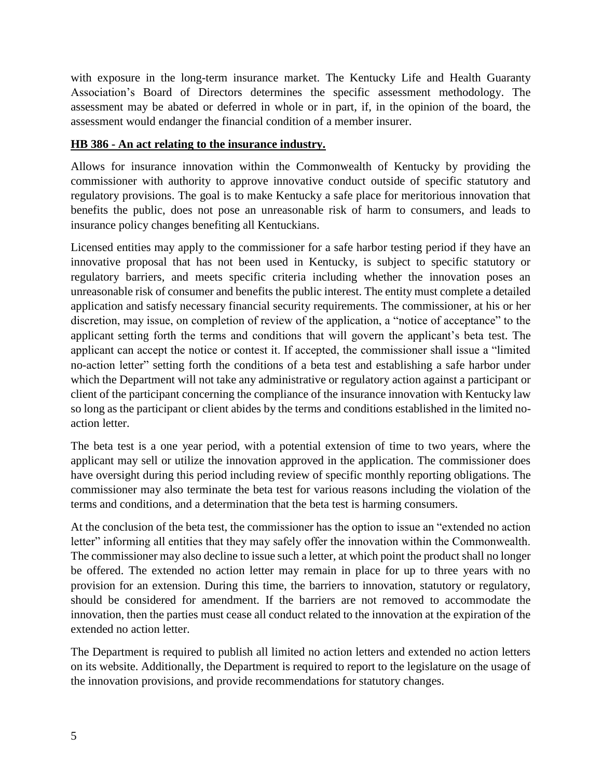with exposure in the long-term insurance market. The Kentucky Life and Health Guaranty Association's Board of Directors determines the specific assessment methodology. The assessment may be abated or deferred in whole or in part, if, in the opinion of the board, the assessment would endanger the financial condition of a member insurer.

### **HB 386 - An act relating to the insurance industry.**

Allows for insurance innovation within the Commonwealth of Kentucky by providing the commissioner with authority to approve innovative conduct outside of specific statutory and regulatory provisions. The goal is to make Kentucky a safe place for meritorious innovation that benefits the public, does not pose an unreasonable risk of harm to consumers, and leads to insurance policy changes benefiting all Kentuckians.

Licensed entities may apply to the commissioner for a safe harbor testing period if they have an innovative proposal that has not been used in Kentucky, is subject to specific statutory or regulatory barriers, and meets specific criteria including whether the innovation poses an unreasonable risk of consumer and benefits the public interest. The entity must complete a detailed application and satisfy necessary financial security requirements. The commissioner, at his or her discretion, may issue, on completion of review of the application, a "notice of acceptance" to the applicant setting forth the terms and conditions that will govern the applicant's beta test. The applicant can accept the notice or contest it. If accepted, the commissioner shall issue a "limited no-action letter" setting forth the conditions of a beta test and establishing a safe harbor under which the Department will not take any administrative or regulatory action against a participant or client of the participant concerning the compliance of the insurance innovation with Kentucky law so long as the participant or client abides by the terms and conditions established in the limited noaction letter.

The beta test is a one year period, with a potential extension of time to two years, where the applicant may sell or utilize the innovation approved in the application. The commissioner does have oversight during this period including review of specific monthly reporting obligations. The commissioner may also terminate the beta test for various reasons including the violation of the terms and conditions, and a determination that the beta test is harming consumers.

At the conclusion of the beta test, the commissioner has the option to issue an "extended no action letter" informing all entities that they may safely offer the innovation within the Commonwealth. The commissioner may also decline to issue such a letter, at which point the product shall no longer be offered. The extended no action letter may remain in place for up to three years with no provision for an extension. During this time, the barriers to innovation, statutory or regulatory, should be considered for amendment. If the barriers are not removed to accommodate the innovation, then the parties must cease all conduct related to the innovation at the expiration of the extended no action letter.

The Department is required to publish all limited no action letters and extended no action letters on its website. Additionally, the Department is required to report to the legislature on the usage of the innovation provisions, and provide recommendations for statutory changes.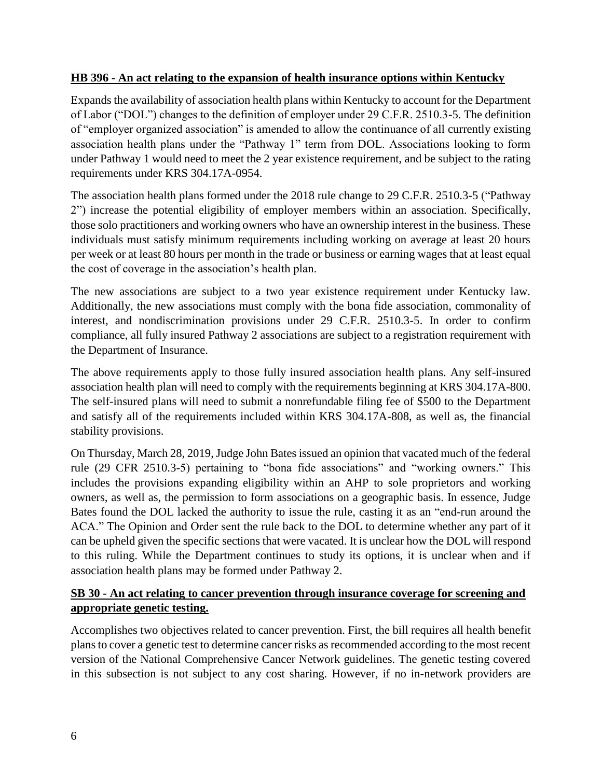### **HB 396 - An act relating to the expansion of health insurance options within Kentucky**

Expands the availability of association health plans within Kentucky to account for the Department of Labor ("DOL") changes to the definition of employer under 29 C.F.R. 2510.3-5. The definition of "employer organized association" is amended to allow the continuance of all currently existing association health plans under the "Pathway 1" term from DOL. Associations looking to form under Pathway 1 would need to meet the 2 year existence requirement, and be subject to the rating requirements under KRS 304.17A-0954.

The association health plans formed under the 2018 rule change to 29 C.F.R. 2510.3-5 ("Pathway 2") increase the potential eligibility of employer members within an association. Specifically, those solo practitioners and working owners who have an ownership interest in the business. These individuals must satisfy minimum requirements including working on average at least 20 hours per week or at least 80 hours per month in the trade or business or earning wages that at least equal the cost of coverage in the association's health plan.

The new associations are subject to a two year existence requirement under Kentucky law. Additionally, the new associations must comply with the bona fide association, commonality of interest, and nondiscrimination provisions under 29 C.F.R. 2510.3-5. In order to confirm compliance, all fully insured Pathway 2 associations are subject to a registration requirement with the Department of Insurance.

The above requirements apply to those fully insured association health plans. Any self-insured association health plan will need to comply with the requirements beginning at KRS 304.17A-800. The self-insured plans will need to submit a nonrefundable filing fee of \$500 to the Department and satisfy all of the requirements included within KRS 304.17A-808, as well as, the financial stability provisions.

On Thursday, March 28, 2019, Judge John Bates issued an opinion that vacated much of the federal rule (29 CFR 2510.3-5) pertaining to "bona fide associations" and "working owners." This includes the provisions expanding eligibility within an AHP to sole proprietors and working owners, as well as, the permission to form associations on a geographic basis. In essence, Judge Bates found the DOL lacked the authority to issue the rule, casting it as an "end-run around the ACA." The Opinion and Order sent the rule back to the DOL to determine whether any part of it can be upheld given the specific sections that were vacated. It is unclear how the DOL will respond to this ruling. While the Department continues to study its options, it is unclear when and if association health plans may be formed under Pathway 2.

### **SB 30 - An act relating to cancer prevention through insurance coverage for screening and appropriate genetic testing.**

Accomplishes two objectives related to cancer prevention. First, the bill requires all health benefit plans to cover a genetic test to determine cancer risks as recommended according to the most recent version of the National Comprehensive Cancer Network guidelines. The genetic testing covered in this subsection is not subject to any cost sharing. However, if no in-network providers are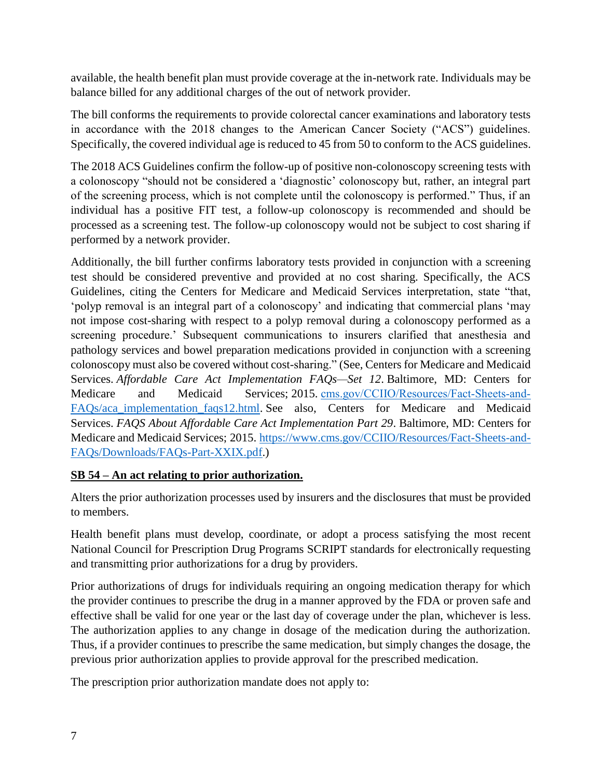available, the health benefit plan must provide coverage at the in-network rate. Individuals may be balance billed for any additional charges of the out of network provider.

The bill conforms the requirements to provide colorectal cancer examinations and laboratory tests in accordance with the 2018 changes to the American Cancer Society ("ACS") guidelines. Specifically, the covered individual age is reduced to 45 from 50 to conform to the ACS guidelines.

The 2018 ACS Guidelines confirm the follow-up of positive non-colonoscopy screening tests with a colonoscopy "should not be considered a 'diagnostic' colonoscopy but, rather, an integral part of the screening process, which is not complete until the colonoscopy is performed." Thus, if an individual has a positive FIT test, a follow-up colonoscopy is recommended and should be processed as a screening test. The follow-up colonoscopy would not be subject to cost sharing if performed by a network provider.

Additionally, the bill further confirms laboratory tests provided in conjunction with a screening test should be considered preventive and provided at no cost sharing. Specifically, the ACS Guidelines, citing the Centers for Medicare and Medicaid Services interpretation, state "that, 'polyp removal is an integral part of a colonoscopy' and indicating that commercial plans 'may not impose cost-sharing with respect to a polyp removal during a colonoscopy performed as a screening procedure.' Subsequent communications to insurers clarified that anesthesia and pathology services and bowel preparation medications provided in conjunction with a screening colonoscopy must also be covered without cost-sharing." (See, Centers for Medicare and Medicaid Services. *Affordable Care Act Implementation FAQs—Set 12*. Baltimore, MD: Centers for Medicare and Medicaid Services; 2015. cms.gov/CCIIO/Resources/Fact-Sheets-and-[FAQs/aca\\_implementation\\_faqs12.html.](http://cms.gov/CCIIO/Resources/Fact-Sheets-and-FAQs/aca_implementation_faqs12.html) See also, Centers for Medicare and Medicaid Services. *FAQS About Affordable Care Act Implementation Part 29*. Baltimore, MD: Centers for Medicare and Medicaid Services; 2015. [https://www.cms.gov/CCIIO/Resources/Fact-Sheets-and-](https://www.cms.gov/CCIIO/Resources/Fact-Sheets-and-FAQs/Downloads/FAQs-Part-XXIX.pdf)[FAQs/Downloads/FAQs-Part-XXIX.pdf.](https://www.cms.gov/CCIIO/Resources/Fact-Sheets-and-FAQs/Downloads/FAQs-Part-XXIX.pdf))

## **SB 54 – An act relating to prior authorization.**

Alters the prior authorization processes used by insurers and the disclosures that must be provided to members.

Health benefit plans must develop, coordinate, or adopt a process satisfying the most recent National Council for Prescription Drug Programs SCRIPT standards for electronically requesting and transmitting prior authorizations for a drug by providers.

Prior authorizations of drugs for individuals requiring an ongoing medication therapy for which the provider continues to prescribe the drug in a manner approved by the FDA or proven safe and effective shall be valid for one year or the last day of coverage under the plan, whichever is less. The authorization applies to any change in dosage of the medication during the authorization. Thus, if a provider continues to prescribe the same medication, but simply changes the dosage, the previous prior authorization applies to provide approval for the prescribed medication.

The prescription prior authorization mandate does not apply to: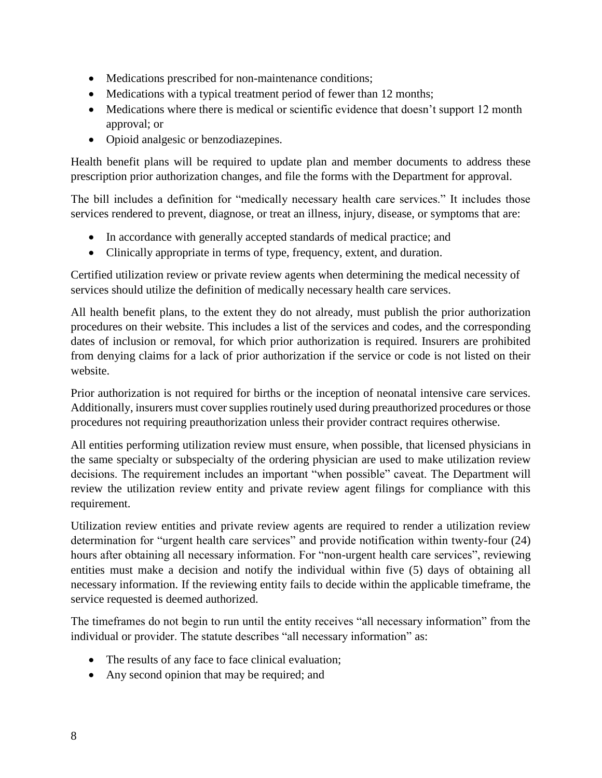- Medications prescribed for non-maintenance conditions;
- Medications with a typical treatment period of fewer than 12 months;
- Medications where there is medical or scientific evidence that doesn't support 12 month approval; or
- Opioid analgesic or benzodiazepines.

Health benefit plans will be required to update plan and member documents to address these prescription prior authorization changes, and file the forms with the Department for approval.

The bill includes a definition for "medically necessary health care services." It includes those services rendered to prevent, diagnose, or treat an illness, injury, disease, or symptoms that are:

- In accordance with generally accepted standards of medical practice; and
- Clinically appropriate in terms of type, frequency, extent, and duration.

Certified utilization review or private review agents when determining the medical necessity of services should utilize the definition of medically necessary health care services.

All health benefit plans, to the extent they do not already, must publish the prior authorization procedures on their website. This includes a list of the services and codes, and the corresponding dates of inclusion or removal, for which prior authorization is required. Insurers are prohibited from denying claims for a lack of prior authorization if the service or code is not listed on their website.

Prior authorization is not required for births or the inception of neonatal intensive care services. Additionally, insurers must cover supplies routinely used during preauthorized procedures or those procedures not requiring preauthorization unless their provider contract requires otherwise.

All entities performing utilization review must ensure, when possible, that licensed physicians in the same specialty or subspecialty of the ordering physician are used to make utilization review decisions. The requirement includes an important "when possible" caveat. The Department will review the utilization review entity and private review agent filings for compliance with this requirement.

Utilization review entities and private review agents are required to render a utilization review determination for "urgent health care services" and provide notification within twenty-four (24) hours after obtaining all necessary information. For "non-urgent health care services", reviewing entities must make a decision and notify the individual within five (5) days of obtaining all necessary information. If the reviewing entity fails to decide within the applicable timeframe, the service requested is deemed authorized.

The timeframes do not begin to run until the entity receives "all necessary information" from the individual or provider. The statute describes "all necessary information" as:

- The results of any face to face clinical evaluation;
- Any second opinion that may be required; and